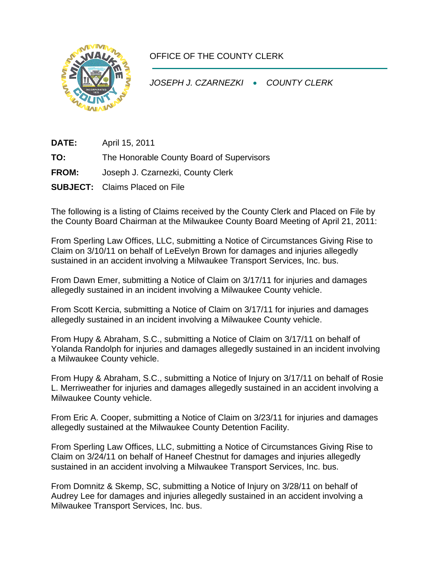

## OFFICE OF THE COUNTY CLERK

*JOSEPH J. CZARNEZKI* • *COUNTY CLERK* 

**DATE:** April 15, 2011 **TO:** The Honorable County Board of Supervisors **FROM:** Joseph J. Czarnezki, County Clerk **SUBJECT:** Claims Placed on File

The following is a listing of Claims received by the County Clerk and Placed on File by the County Board Chairman at the Milwaukee County Board Meeting of April 21, 2011:

From Sperling Law Offices, LLC, submitting a Notice of Circumstances Giving Rise to Claim on 3/10/11 on behalf of LeEvelyn Brown for damages and injuries allegedly sustained in an accident involving a Milwaukee Transport Services, Inc. bus.

From Dawn Emer, submitting a Notice of Claim on 3/17/11 for injuries and damages allegedly sustained in an incident involving a Milwaukee County vehicle.

From Scott Kercia, submitting a Notice of Claim on 3/17/11 for injuries and damages allegedly sustained in an incident involving a Milwaukee County vehicle.

From Hupy & Abraham, S.C., submitting a Notice of Claim on 3/17/11 on behalf of Yolanda Randolph for injuries and damages allegedly sustained in an incident involving a Milwaukee County vehicle.

From Hupy & Abraham, S.C., submitting a Notice of Injury on 3/17/11 on behalf of Rosie L. Merriweather for injuries and damages allegedly sustained in an accident involving a Milwaukee County vehicle.

From Eric A. Cooper, submitting a Notice of Claim on 3/23/11 for injuries and damages allegedly sustained at the Milwaukee County Detention Facility.

From Sperling Law Offices, LLC, submitting a Notice of Circumstances Giving Rise to Claim on 3/24/11 on behalf of Haneef Chestnut for damages and injuries allegedly sustained in an accident involving a Milwaukee Transport Services, Inc. bus.

From Domnitz & Skemp, SC, submitting a Notice of Injury on 3/28/11 on behalf of Audrey Lee for damages and injuries allegedly sustained in an accident involving a Milwaukee Transport Services, Inc. bus.